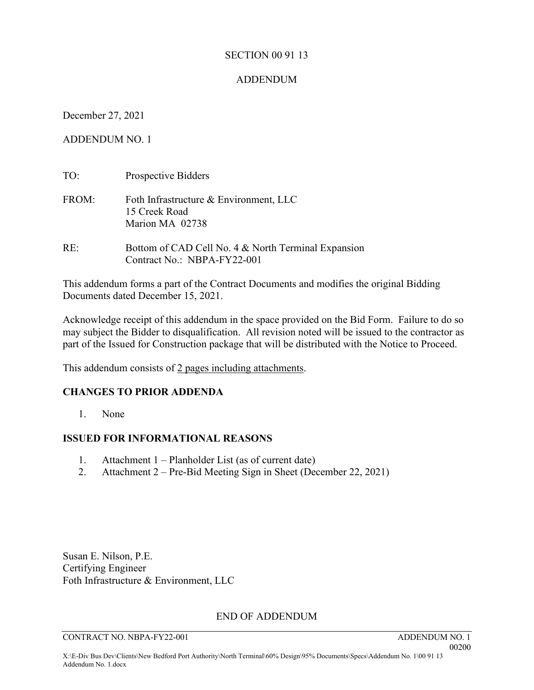#### SECTION 00 91 13

#### ADDENDUM

December 27, 2021

ADDENDUM NO. 1

| TO:   | Prospective Bidders                                                                |
|-------|------------------------------------------------------------------------------------|
| FROM: | Foth Infrastructure & Environment, LLC<br>15 Creek Road<br>Marion MA 02738         |
| RE:   | Bottom of CAD Cell No. 4 & North Terminal Expansion<br>Contract No.: NBPA-FY22-001 |

This addendum forms a part of the Contract Documents and modifies the original Bidding Documents dated December 15, 2021.

Acknowledge receipt of this addendum in the space provided on the Bid Form. Failure to do so may subject the Bidder to disqualification. All revision noted will be issued to the contractor as part of the Issued for Construction package that will be distributed with the Notice to Proceed.

This addendum consists of 2 pages including attachments.

## **CHANGES TO PRIOR ADDENDA**

1. None

## **ISSUED FOR INFORMATIONAL REASONS**

- 1. Attachment 1 Planholder List (as of current date)
- 2. Attachment 2 Pre-Bid Meeting Sign in Sheet (December 22, 2021)

Susan E. Nilson, P.E. Certifying Engineer Foth Infrastructure & Environment, LLC

## END OF ADDENDUM

CONTRACT NO. NBPA-FY22-001 ADDENDUM NO. 1

 00200 X:\E-Div Bus Dev\Clients\New Bedford Port Authority\North Terminal\60% Design\95% Documents\Specs\Addendum No. 1\00 91 13 Addendum No. 1.docx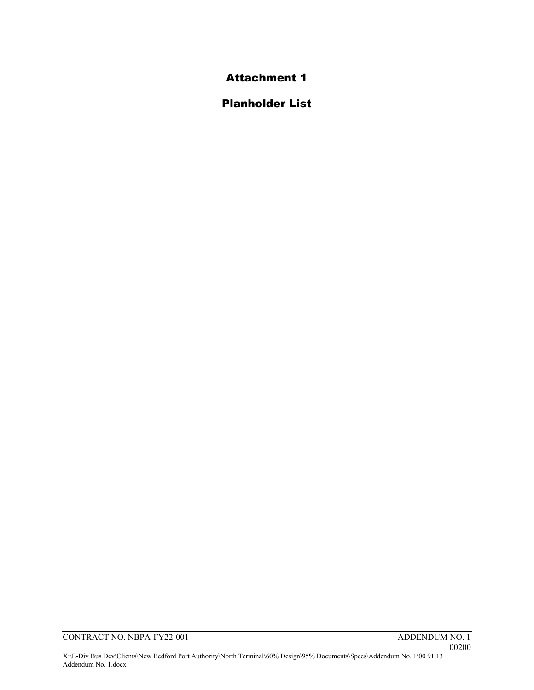## Attachment 1

## Planholder List

Addendum No. 1.docx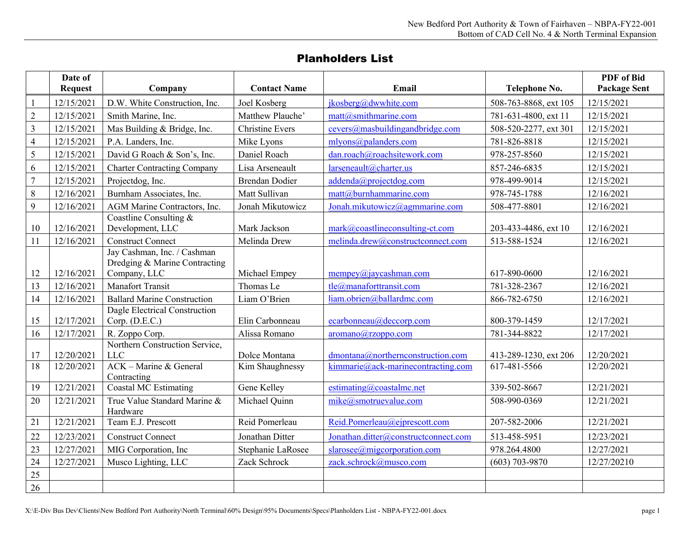## Planholders List

|                | Date of<br><b>Request</b> | Company                                                                               | <b>Contact Name</b>              | Email                                                                     | Telephone No.                         | PDF of Bid<br><b>Package Sent</b> |
|----------------|---------------------------|---------------------------------------------------------------------------------------|----------------------------------|---------------------------------------------------------------------------|---------------------------------------|-----------------------------------|
|                | 12/15/2021                | D.W. White Construction, Inc.                                                         | Joel Kosberg                     | jkosberg@dwwhite.com                                                      | 508-763-8868, ext 105                 | 12/15/2021                        |
| $\overline{2}$ | 12/15/2021                | Smith Marine, Inc.                                                                    | Matthew Plauche'                 | $\text{matt}(a)$ smithmarine.com                                          | 781-631-4800, ext 11                  | 12/15/2021                        |
| $\overline{3}$ | 12/15/2021                | Mas Building & Bridge, Inc.                                                           | <b>Christine Evers</b>           | $cevers@mask$ uildingandbridge.com                                        | 508-520-2277, ext 301                 | 12/15/2021                        |
| $\overline{4}$ | 12/15/2021                | P.A. Landers, Inc.                                                                    | Mike Lyons                       | mlyons@palanders.com                                                      | 781-826-8818                          | 12/15/2021                        |
| 5              | 12/15/2021                | David G Roach & Son's, Inc.                                                           | Daniel Roach                     | dan.roach@roachsitework.com                                               | 978-257-8560                          | 12/15/2021                        |
| 6              | 12/15/2021                | <b>Charter Contracting Company</b>                                                    | Lisa Arseneault                  | larseneault@charter.us                                                    | 857-246-6835                          | 12/15/2021                        |
| $\tau$         | 12/15/2021                | Projectdog, Inc.                                                                      | <b>Brendan Dodier</b>            | addenda@projectdog.com                                                    | 978-499-9014                          | 12/15/2021                        |
| $\,$ 8 $\,$    | 12/16/2021                | Burnham Associates, Inc.                                                              | Matt Sullivan                    | matt@burnhammarine.com                                                    | 978-745-1788                          | 12/16/2021                        |
| 9              | 12/16/2021                | AGM Marine Contractors, Inc.                                                          | Jonah Mikutowicz                 | Jonah.mikutowicz@agmmarine.com                                            | 508-477-8801                          | 12/16/2021                        |
| 10             | 12/16/2021                | Coastline Consulting $&$<br>Development, LLC                                          | Mark Jackson                     | $mark@coastlineconsulting-ct.com$                                         | 203-433-4486, ext 10                  | 12/16/2021                        |
| 11             | 12/16/2021                | <b>Construct Connect</b>                                                              | Melinda Drew                     | melinda.drew@constructconnect.com                                         | 513-588-1524                          | 12/16/2021                        |
| 12             | 12/16/2021                | Jay Cashman, Inc. / Cashman<br>Dredging & Marine Contracting<br>Company, LLC          | Michael Empey                    | $m$ empey $@$ jaycashman.com                                              | 617-890-0600                          | 12/16/2021                        |
| 13             | 12/16/2021                | <b>Manafort Transit</b>                                                               | Thomas Le                        | tle@manaforttransit.com                                                   | 781-328-2367                          | 12/16/2021                        |
| 14             | 12/16/2021                | <b>Ballard Marine Construction</b>                                                    | Liam O'Brien                     | liam.obrien@ballardmc.com                                                 | 866-782-6750                          | 12/16/2021                        |
| 15             | 12/17/2021                | Dagle Electrical Construction<br>Corp. (D.E.C.)                                       | Elin Carbonneau                  | ecarbonneau@deccorp.com                                                   | 800-379-1459                          | 12/17/2021                        |
| 16             | 12/17/2021                | R. Zoppo Corp.                                                                        | Alissa Romano                    | aromano@rzoppo.com                                                        | 781-344-8822                          | 12/17/2021                        |
| 17<br>18       | 12/20/2021<br>12/20/2021  | Northern Construction Service,<br><b>LLC</b><br>ACK - Marine & General<br>Contracting | Dolce Montana<br>Kim Shaughnessy | dmontana@northernconstruction.com<br>$kimmarie@ack-marinecontracting.com$ | 413-289-1230, ext 206<br>617-481-5566 | 12/20/2021<br>12/20/2021          |
| 19             | 12/21/2021                | <b>Coastal MC Estimating</b>                                                          | Gene Kelley                      | estimating@coastalmc.net                                                  | 339-502-8667                          | 12/21/2021                        |
| 20             | 12/21/2021                | True Value Standard Marine &<br>Hardware                                              | Michael Quinn                    | mike@smotruevalue.com                                                     | 508-990-0369                          | 12/21/2021                        |
| 21             | 12/21/2021                | Team E.J. Prescott                                                                    | Reid Pomerleau                   | Reid.Pomerleau@ejprescott.com                                             | 207-582-2006                          | 12/21/2021                        |
| 22             | 12/23/2021                | <b>Construct Connect</b>                                                              | Jonathan Ditter                  | Jonathan.ditter@constructconnect.com                                      | 513-458-5951                          | 12/23/2021                        |
| 23             | 12/27/2021                | MIG Corporation, Inc                                                                  | Stephanie LaRosee                | slarosee@migcorporation.com                                               | 978.264.4800                          | 12/27/2021                        |
| 24             | 12/27/2021                | Musco Lighting, LLC                                                                   | Zack Schrock                     | zack.schrock@musco.com                                                    | $(603)$ 703-9870                      | 12/27/20210                       |
| 25             |                           |                                                                                       |                                  |                                                                           |                                       |                                   |
| 26             |                           |                                                                                       |                                  |                                                                           |                                       |                                   |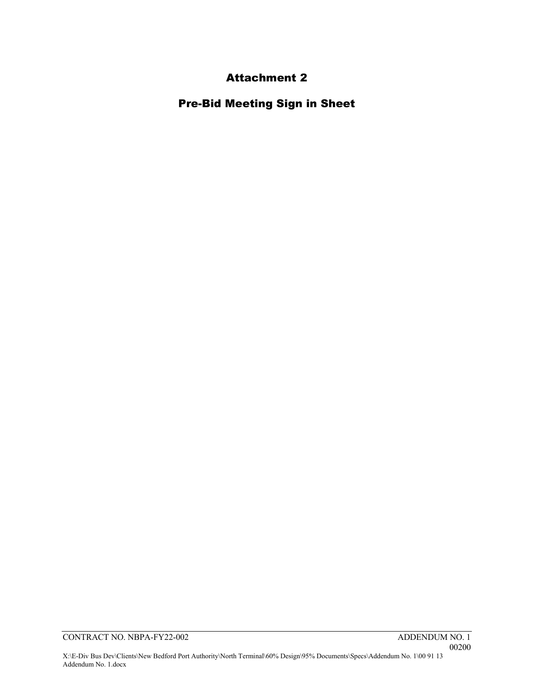## Attachment 2

Pre-Bid Meeting Sign in Sheet

Addendum No. 1.docx